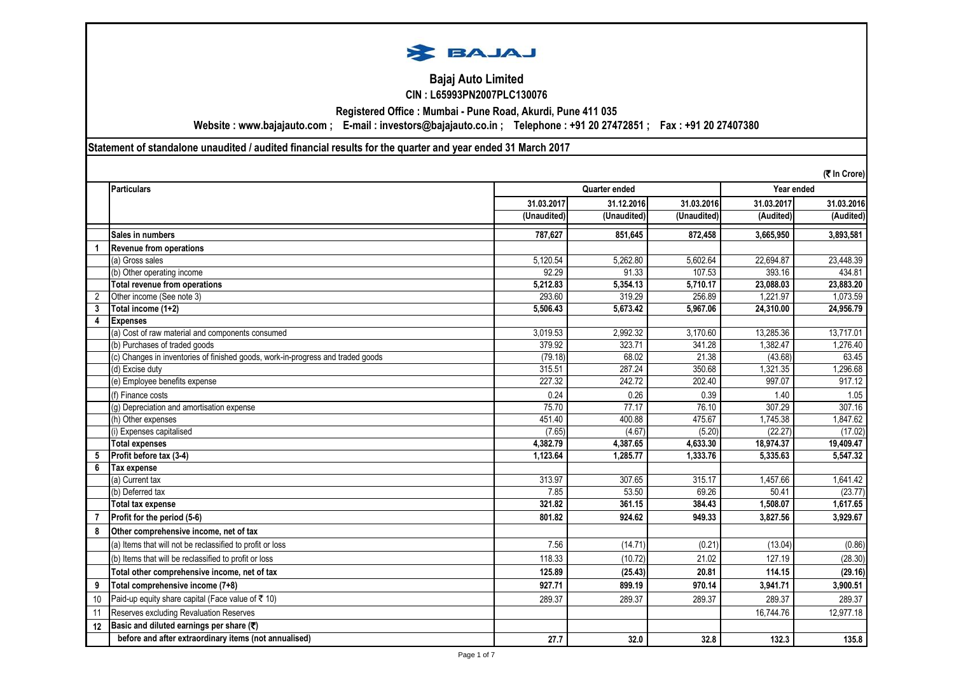

# **Bajaj Auto Limited CIN : L65993PN2007PLC130076**

**Registered Office : Mumbai - Pune Road, Akurdi, Pune 411 035**

**Website : www.bajajauto.com ; E-mail : investors@bajajauto.co.in ; Telephone : +91 20 27472851 ; Fax : +91 20 27407380**

**Statement of standalone unaudited / audited financial results for the quarter and year ended 31 March 2017**

|                      | (₹ In Crore)                                                                    |                             |             |                          |            |            |
|----------------------|---------------------------------------------------------------------------------|-----------------------------|-------------|--------------------------|------------|------------|
|                      | <b>Particulars</b>                                                              | Year ended<br>Quarter ended |             |                          |            |            |
|                      |                                                                                 | 31.03.2017                  | 31.12.2016  | 31.03.2016               | 31.03.2017 | 31.03.2016 |
|                      |                                                                                 | (Unaudited)                 | (Unaudited) | $\overline{U}$ naudited) | (Audited)  | (Audited)  |
|                      | Sales in numbers                                                                | 787,627                     | 851.645     | 872,458                  | 3,665,950  | 3,893,581  |
| $\blacktriangleleft$ | Revenue from operations                                                         |                             |             |                          |            |            |
|                      | (a) Gross sales                                                                 | 5,120.54                    | 5,262.80    | 5,602.64                 | 22,694.87  | 23,448.39  |
|                      | (b) Other operating income                                                      | 92.29                       | 91.33       | 107.53                   | 393.16     | 434.81     |
|                      | Total revenue from operations                                                   | 5,212.83                    | 5,354.13    | 5,710.17                 | 23,088.03  | 23,883.20  |
|                      | Other income (See note 3)                                                       | 293.60                      | 319.29      | 256.89                   | 1,221.97   | 1,073.59   |
| 3                    | Total income (1+2)                                                              | 5,506.43                    | 5,673.42    | 5,967.06                 | 24,310.00  | 24,956.79  |
| 4                    | <b>Expenses</b>                                                                 |                             |             |                          |            |            |
|                      | (a) Cost of raw material and components consumed                                | 3,019.53                    | 2,992.32    | 3,170.60                 | 13,285.36  | 13,717.01  |
|                      | (b) Purchases of traded goods                                                   | 379.92                      | 323.71      | 341.28                   | 1,382.47   | 1,276.40   |
|                      | (c) Changes in inventories of finished goods, work-in-progress and traded goods | (79.18)                     | 68.02       | 21.38                    | (43.68)    | 63.45      |
|                      | (d) Excise duty                                                                 | 315.51                      | 287.24      | 350.68                   | 1,321.35   | 1,296.68   |
|                      | (e) Employee benefits expense                                                   | 227.32                      | 242.72      | 202.40                   | 997.07     | 917.12     |
|                      | (f) Finance costs                                                               | 0.24                        | 0.26        | 0.39                     | 1.40       | 1.05       |
|                      | (q) Depreciation and amortisation expense                                       | 75.70                       | 77.17       | 76.10                    | 307.29     | 307.16     |
|                      | (h) Other expenses                                                              | 451.40                      | 400.88      | 475.67                   | 1.745.38   | 1,847.62   |
|                      | (i) Expenses capitalised                                                        | (7.65)                      | (4.67)      | (5.20)                   | (22.27)    | (17.02)    |
|                      | <b>Total expenses</b>                                                           | 4,382.79                    | 4.387.65    | 4,633.30                 | 18,974.37  | 19,409.47  |
| 5                    | Profit before tax (3-4)                                                         | 1.123.64                    | 1.285.77    | 1.333.76                 | 5.335.63   | 5.547.32   |
| 6                    | Tax expense                                                                     |                             |             |                          |            |            |
|                      | (a) Current tax                                                                 | 313.97                      | 307.65      | 315.17                   | 1,457.66   | 1,641.42   |
|                      | (b) Deferred tax                                                                | 7.85                        | 53.50       | 69.26                    | 50.41      | (23.77)    |
|                      | Total tax expense                                                               | 321.82                      | 361.15      | 384.43                   | 1.508.07   | 1,617.65   |
| $\overline{7}$       | Profit for the period (5-6)                                                     | 801.82                      | 924.62      | 949.33                   | 3.827.56   | 3,929.67   |
| 8                    | Other comprehensive income, net of tax                                          |                             |             |                          |            |            |
|                      | (a) Items that will not be reclassified to profit or loss                       | 7.56                        | (14.71)     | (0.21)                   | (13.04)    | (0.86)     |
|                      | (b) Items that will be reclassified to profit or loss                           | 118.33                      | (10.72)     | 21.02                    | 127.19     | (28.30)    |
|                      | Total other comprehensive income, net of tax                                    | 125.89                      | (25.43)     | 20.81                    | 114.15     | (29.16)    |
| 9                    | Total comprehensive income (7+8)                                                | 927.71                      | 899.19      | 970.14                   | 3,941.71   | 3,900.51   |
| 10                   | Paid-up equity share capital (Face value of ₹ 10)                               | 289.37                      | 289.37      | 289.37                   | 289.37     | 289.37     |
| 11                   | Reserves excluding Revaluation Reserves                                         |                             |             |                          | 16.744.76  | 12,977.18  |
| 12                   | Basic and diluted earnings per share $(\overline{\mathbf{x}})$                  |                             |             |                          |            |            |
|                      | before and after extraordinary items (not annualised)                           | 27.7                        | 32.0        | 32.8                     | 132.3      | 135.8      |

Page 1 of 7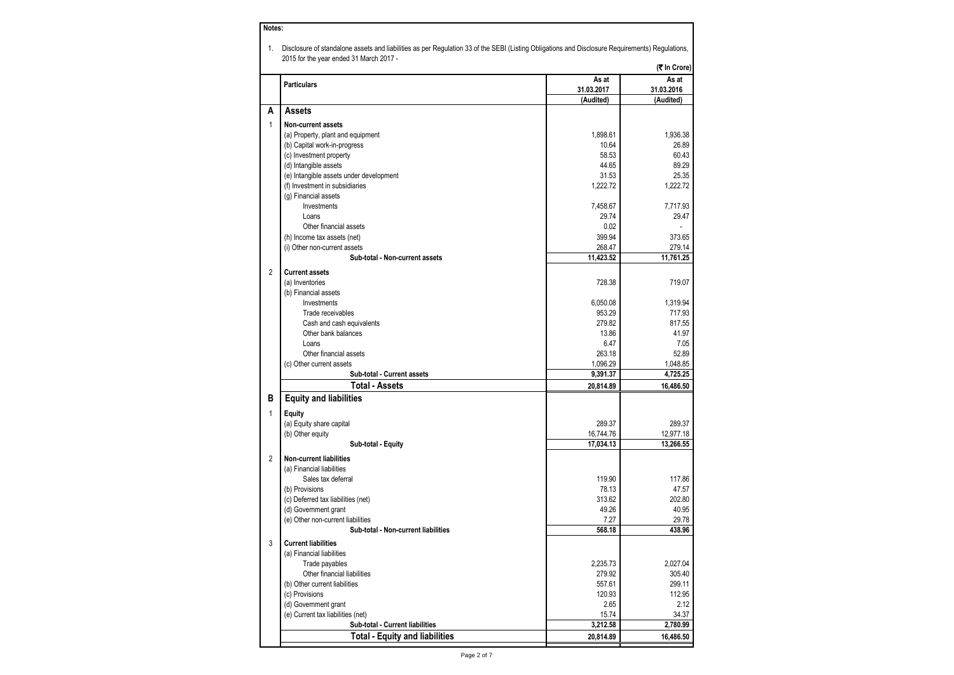| Notes:         |                                                                                                                                                                                            |            |              |  |
|----------------|--------------------------------------------------------------------------------------------------------------------------------------------------------------------------------------------|------------|--------------|--|
| 1.             | Disclosure of standalone assets and liabilities as per Regulation 33 of the SEBI (Listing Obligations and Disclosure Requirements) Regulations,<br>2015 for the year ended 31 March 2017 - |            |              |  |
|                |                                                                                                                                                                                            |            | (₹ In Crore) |  |
|                | <b>Particulars</b>                                                                                                                                                                         | As at      | As at        |  |
|                |                                                                                                                                                                                            | 31.03.2017 | 31.03.2016   |  |
|                |                                                                                                                                                                                            | (Audited)  | (Audited)    |  |
| А              | Assets                                                                                                                                                                                     |            |              |  |
| 1              | Non-current assets                                                                                                                                                                         |            |              |  |
|                | (a) Property, plant and equipment                                                                                                                                                          | 1,898.61   | 1,936.38     |  |
|                | (b) Capital work-in-progress                                                                                                                                                               | 10.64      | 26.89        |  |
|                | (c) Investment property                                                                                                                                                                    | 58.53      | 60.43        |  |
|                | (d) Intangible assets                                                                                                                                                                      | 44.65      | 89.29        |  |
|                | (e) Intangible assets under development                                                                                                                                                    | 31.53      | 25.35        |  |
|                | (f) Investment in subsidiaries                                                                                                                                                             | 1.222.72   | 1.222.72     |  |
|                | (g) Financial assets                                                                                                                                                                       |            |              |  |
|                | Investments                                                                                                                                                                                | 7,458.67   | 7,717.93     |  |
|                | Loans                                                                                                                                                                                      | 29.74      | 29.47        |  |
|                | Other financial assets                                                                                                                                                                     | 0.02       |              |  |
|                | (h) Income tax assets (net)                                                                                                                                                                | 399.94     | 373.65       |  |
|                | (i) Other non-current assets                                                                                                                                                               | 268.47     | 279.14       |  |
|                | Sub-total - Non-current assets                                                                                                                                                             | 11,423.52  | 11,761.25    |  |
|                |                                                                                                                                                                                            |            |              |  |
| $\overline{2}$ | <b>Current assets</b>                                                                                                                                                                      |            |              |  |
|                | (a) Inventories                                                                                                                                                                            | 728.38     | 719.07       |  |
|                | (b) Financial assets                                                                                                                                                                       |            |              |  |
|                | Investments                                                                                                                                                                                | 6,050.08   | 1,319.94     |  |
|                | Trade receivables                                                                                                                                                                          | 953.29     | 717.93       |  |
|                | Cash and cash equivalents                                                                                                                                                                  | 279.82     | 817.55       |  |
|                | Other bank balances                                                                                                                                                                        | 13.86      | 41.97        |  |
|                | Loans                                                                                                                                                                                      | 6.47       | 7.05         |  |
|                | Other financial assets                                                                                                                                                                     | 263.18     | 52.89        |  |
|                | (c) Other current assets                                                                                                                                                                   | 1,096.29   | 1,048.85     |  |
|                | Sub-total - Current assets                                                                                                                                                                 | 9,391.37   | 4,725.25     |  |
|                | Total - Assets                                                                                                                                                                             | 20,814.89  | 16,486.50    |  |
| в              | <b>Equity and liabilities</b>                                                                                                                                                              |            |              |  |
| 1              | <b>Equity</b>                                                                                                                                                                              |            |              |  |
|                | (a) Equity share capital                                                                                                                                                                   | 289.37     | 289.37       |  |
|                | (b) Other equity                                                                                                                                                                           | 16,744.76  | 12,977.18    |  |
|                | Sub-total - Equity                                                                                                                                                                         | 17,034.13  | 13,266.55    |  |
|                |                                                                                                                                                                                            |            |              |  |
| $\overline{2}$ | <b>Non-current liabilities</b>                                                                                                                                                             |            |              |  |
|                | (a) Financial liabilities                                                                                                                                                                  |            |              |  |
|                | Sales tax deferral                                                                                                                                                                         | 119.90     | 117.86       |  |
|                | (b) Provisions                                                                                                                                                                             | 78.13      | 47.57        |  |
|                | (c) Deferred tax liabilities (net)                                                                                                                                                         | 313.62     | 202.80       |  |
|                | (d) Government grant                                                                                                                                                                       | 49.26      | 40.95        |  |
|                | (e) Other non-current liabilities                                                                                                                                                          | 7.27       | 29.78        |  |
|                | Sub-total - Non-current liabilities                                                                                                                                                        | 568.18     | 438.96       |  |
| 3              | <b>Current liabilities</b>                                                                                                                                                                 |            |              |  |
|                | (a) Financial liabilities                                                                                                                                                                  |            |              |  |
|                | Trade payables                                                                                                                                                                             | 2,235.73   | 2.027.04     |  |
|                | Other financial liabilities                                                                                                                                                                | 279.92     | 305.40       |  |
|                | (b) Other current liabilities                                                                                                                                                              | 557.61     | 299.11       |  |
|                | (c) Provisions                                                                                                                                                                             | 120.93     | 112.95       |  |
|                | (d) Government grant                                                                                                                                                                       | 2.65       | 2.12         |  |
|                | (e) Current tax liabilities (net)                                                                                                                                                          | 15.74      | 34.37        |  |
|                | Sub-total - Current liabilities                                                                                                                                                            | 3,212.58   | 2.780.99     |  |
|                | <b>Total - Equity and liabilities</b>                                                                                                                                                      | 20,814.89  | 16,486.50    |  |
|                |                                                                                                                                                                                            |            |              |  |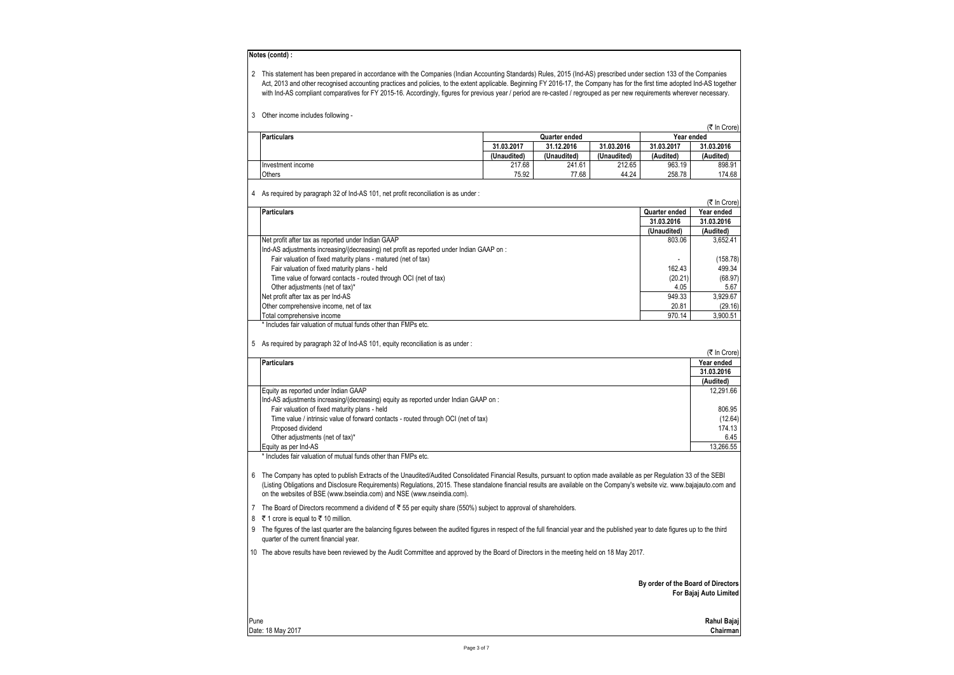#### **Notes (contd) :**

| This statement has been prepared in accordance with the Companies (Indian Accounting Standards) Rules, 2015 (Ind-AS) prescribed under section 133 of the Companies           |
|------------------------------------------------------------------------------------------------------------------------------------------------------------------------------|
| Act, 2013 and other recognised accounting practices and policies, to the extent applicable. Beginning FY 2016-17, the Company has for the first time adopted Ind-AS together |
| with Ind-AS compliant comparatives for FY 2015-16. Accordingly, figures for previous year / period are re-casted / regrouped as per new requirements wherever necessary.     |

| 3 |  |  |  | Other income includes following - |
|---|--|--|--|-----------------------------------|
|---|--|--|--|-----------------------------------|

|                    |                             |             |             |            | (そ In Crore) |
|--------------------|-----------------------------|-------------|-------------|------------|--------------|
| <b>Particulars</b> | Year ended<br>Quarter ended |             |             |            |              |
|                    | 31.03.2017                  | 31.12.2016  | 31.03.2016  | 31.03.2017 | 31.03.2016   |
|                    | (Unaudited)                 | (Unaudited) | (Unaudited) | (Audited)  | (Audited)    |
| Investment income  | 217.68                      | 241.61      | 212.65      | 963.19     | 898.91       |
| Others             | 75.92                       | 77.68       | 44.24       | 258.78     | 174.68       |

4 As required by paragraph 32 of Ind-AS 101, net profit reconciliation is as under :

|      |                                                                                                                                                                                    |                                    | (そ In Crore)           |
|------|------------------------------------------------------------------------------------------------------------------------------------------------------------------------------------|------------------------------------|------------------------|
|      | <b>Particulars</b>                                                                                                                                                                 | Quarter ended                      | Year ended             |
|      |                                                                                                                                                                                    | 31.03.2016                         | 31.03.2016             |
|      |                                                                                                                                                                                    | (Unaudited)                        | (Audited)              |
|      | Net profit after tax as reported under Indian GAAP                                                                                                                                 | 803.06                             | 3,652.41               |
|      | Ind-AS adjustments increasing/(decreasing) net profit as reported under Indian GAAP on :                                                                                           |                                    |                        |
|      | Fair valuation of fixed maturity plans - matured (net of tax)                                                                                                                      |                                    | (158.78)               |
|      | Fair valuation of fixed maturity plans - held                                                                                                                                      | 162.43                             | 499.34                 |
|      | Time value of forward contacts - routed through OCI (net of tax)                                                                                                                   | (20.21)                            | (68.97)                |
|      | Other adjustments (net of tax)*                                                                                                                                                    | 4.05                               | 5.67                   |
|      | Net profit after tax as per Ind-AS                                                                                                                                                 | 949.33                             | 3,929.67               |
|      | Other comprehensive income, net of tax                                                                                                                                             | 20.81                              | (29.16)                |
|      | Total comprehensive income                                                                                                                                                         | 970.14                             | 3,900.51               |
|      | * Includes fair valuation of mutual funds other than FMPs etc.                                                                                                                     |                                    |                        |
|      | 5 As required by paragraph 32 of lnd-AS 101, equity reconciliation is as under:                                                                                                    |                                    |                        |
|      |                                                                                                                                                                                    |                                    | (₹ In Crore)           |
|      | <b>Particulars</b>                                                                                                                                                                 |                                    | Year ended             |
|      |                                                                                                                                                                                    |                                    | 31.03.2016             |
|      |                                                                                                                                                                                    |                                    | (Audited)              |
|      | Equity as reported under Indian GAAP                                                                                                                                               |                                    | 12,291.66              |
|      | Ind-AS adjustments increasing/(decreasing) equity as reported under Indian GAAP on:                                                                                                |                                    |                        |
|      | Fair valuation of fixed maturity plans - held                                                                                                                                      |                                    | 806.95                 |
|      | Time value / intrinsic value of forward contacts - routed through OCI (net of tax)                                                                                                 |                                    | (12.64)                |
|      | Proposed dividend                                                                                                                                                                  |                                    | 174.13                 |
|      | Other adjustments (net of tax)*                                                                                                                                                    |                                    | 6.45                   |
|      | Equity as per Ind-AS                                                                                                                                                               |                                    | 13,266.55              |
|      | * Includes fair valuation of mutual funds other than FMPs etc.                                                                                                                     |                                    |                        |
|      |                                                                                                                                                                                    |                                    |                        |
|      | 6 The Company has opted to publish Extracts of the Unaudited/Audited Consolidated Financial Results, pursuant to option made available as per Regulation 33 of the SEBI            |                                    |                        |
|      | (Listing Obligations and Disclosure Requirements) Regulations, 2015. These standalone financial results are available on the Company's website viz. www.bajajauto.com and          |                                    |                        |
|      | on the websites of BSE (www.bseindia.com) and NSE (www.nseindia.com).                                                                                                              |                                    |                        |
|      | 7 The Board of Directors recommend a dividend of ₹55 per equity share (550%) subject to approval of shareholders.                                                                  |                                    |                        |
|      | 8 ₹1 crore is equal to ₹10 million.                                                                                                                                                |                                    |                        |
| 9    | The figures of the last quarter are the balancing figures between the audited figures in respect of the full financial year and the published year to date figures up to the third |                                    |                        |
|      | quarter of the current financial year.                                                                                                                                             |                                    |                        |
|      | 10 The above results have been reviewed by the Audit Committee and approved by the Board of Directors in the meeting held on 18 May 2017.                                          |                                    |                        |
|      |                                                                                                                                                                                    |                                    |                        |
|      |                                                                                                                                                                                    | By order of the Board of Directors |                        |
|      |                                                                                                                                                                                    |                                    | For Bajaj Auto Limited |
|      |                                                                                                                                                                                    |                                    |                        |
|      |                                                                                                                                                                                    |                                    |                        |
| Pune |                                                                                                                                                                                    |                                    | Rahul Bajaj            |
|      | Date: 18 May 2017                                                                                                                                                                  |                                    | Chairman               |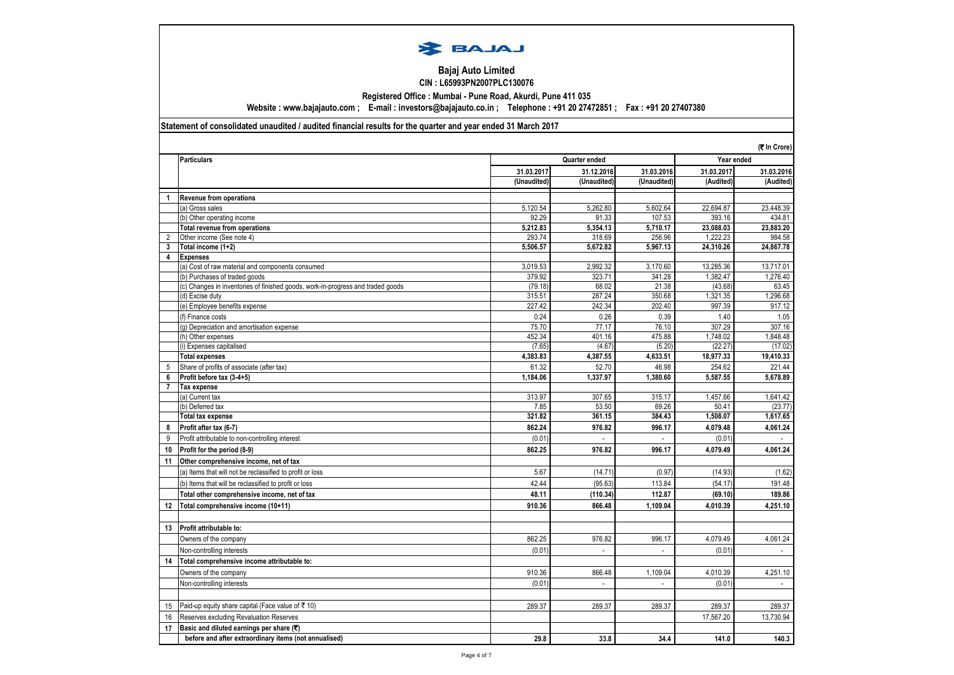

### **Bajaj Auto Limited CIN : L65993PN2007PLC130076**

**Registered Office : Mumbai - Pune Road, Akurdi, Pune 411 035**

**Website : www.bajajauto.com ; E-mail : investors@bajajauto.co.in ; Telephone : +91 20 27472851 ; Fax : +91 20 27407380**

## **Statement of consolidated unaudited / audited financial results for the quarter and year ended 31 March 2017**

|                | (そ In Crore)                                                                    |                |                 |                 |                   |                             |  |
|----------------|---------------------------------------------------------------------------------|----------------|-----------------|-----------------|-------------------|-----------------------------|--|
|                | <b>Particulars</b>                                                              |                | Quarter ended   |                 |                   | Year ended                  |  |
|                |                                                                                 | 31.03.2017     | 31.12.2016      | 31.03.2016      | 31.03.2017        | 31.03.2016                  |  |
|                |                                                                                 | (Unaudited)    | (Unaudited)     | (Unaudited)     | (Audited)         | (Audited)                   |  |
| 1              | <b>Revenue from operations</b>                                                  |                |                 |                 |                   |                             |  |
|                | (a) Gross sales                                                                 | 5,120.54       | 5,262.80        | 5,602.64        | 22,694.87         | 23,448.39                   |  |
|                | (b) Other operating income                                                      | 92.29          | 91.33           | 107.53          | 393.16            | 434.81                      |  |
|                | Total revenue from operations                                                   | 5,212.83       | 5.354.13        | 5.710.17        | 23.088.03         | 23,883.20                   |  |
| $\overline{2}$ | Other income (See note 4)                                                       | 293.74         | 318.69          | 256.96          | 1,222.23          | 984.58                      |  |
| 3              | Total income (1+2)                                                              | 5,506.57       | 5,672.82        | 5,967.13        | 24,310.26         | 24,867.78                   |  |
| 4              | <b>Expenses</b>                                                                 |                |                 |                 |                   |                             |  |
|                | (a) Cost of raw material and components consumed                                | 3.019.53       | 2.992.32        | 3,170.60        | 13.285.36         | 13,717.01                   |  |
|                | (b) Purchases of traded goods                                                   | 379.92         | 323.71          | 341.28          | 1,382.47          | 1,276.40                    |  |
|                | (c) Changes in inventories of finished goods, work-in-progress and traded goods | (79.18)        | 68.02           | 21.38           | (43.68)           | 63.45                       |  |
|                | (d) Excise duty                                                                 | 315.51         | 287.24          | 350.68          | 1,321.35          | 1,296.68                    |  |
|                | (e) Employee benefits expense                                                   | 227.42         | 242.34          | 202.40          | 997.39            | 917.12                      |  |
|                | (f) Finance costs                                                               | 0.24           | 0.26            | 0.39            | 1.40              | 1.05                        |  |
|                | (g) Depreciation and amortisation expense                                       | 75.70          | 77.17           | 76.10           | 307.29            | 307.16                      |  |
|                | (h) Other expenses                                                              | 452.34         | 401.16          | 475.88          | 1,748.02          | 1,848.48                    |  |
|                | (i) Expenses capitalised                                                        | (7.65)         | (4.67)          | (5.20)          | (22.27)           | (17.02)                     |  |
|                | <b>Total expenses</b>                                                           | 4,383.83       | 4,387.55        | 4,633.51        | 18,977.33         | 19,410.33                   |  |
| 5              | Share of profits of associate (after tax)                                       | 61.32          | 52.70           | 46.98           | 254.62            | 221.44                      |  |
| 6              | Profit before tax (3-4+5)                                                       | 1,184.06       | 1,337.97        | 1,380.60        | 5,587.55          | 5,678.89                    |  |
| $\overline{7}$ | Tax expense                                                                     |                |                 |                 |                   |                             |  |
|                | (a) Current tax                                                                 | 313.97         | 307.65          | 315.17          | 1,457.66          | 1,641.42                    |  |
|                | (b) Deferred tax<br><b>Total tax expense</b>                                    | 7.85<br>321.82 | 53.50<br>361.15 | 69.26<br>384.43 | 50.41<br>1,508.07 | (23.77)<br>1,617.65         |  |
|                |                                                                                 |                |                 |                 |                   |                             |  |
| 8              | Profit after tax (6-7)                                                          | 862.24         | 976.82          | 996.17          | 4,079.48          | 4,061.24                    |  |
| 9              | Profit attributable to non-controlling interest                                 | (0.01)         |                 | $\overline{a}$  | (0.01)            |                             |  |
| 10             | Profit for the period (8-9)                                                     | 862.25         | 976.82          | 996.17          | 4.079.49          | 4.061.24                    |  |
| 11             | Other comprehensive income, net of tax                                          |                |                 |                 |                   |                             |  |
|                | (a) Items that will not be reclassified to profit or loss                       | 5.67           | (14.71)         | (0.97)          | (14.93)           | (1.62)                      |  |
|                | (b) Items that will be reclassified to profit or loss                           | 42.44          | (95.63)         | 113.84          | (54.17)           | 191.48                      |  |
|                | Total other comprehensive income, net of tax                                    | 48.11          | (110.34)        | 112.87          | (69.10)           | 189.86                      |  |
| 12             | Total comprehensive income (10+11)                                              | 910.36         | 866.48          | 1,109.04        | 4,010.39          | 4,251.10                    |  |
|                |                                                                                 |                |                 |                 |                   |                             |  |
| 13             | Profit attributable to:                                                         |                |                 |                 |                   |                             |  |
|                | Owners of the company                                                           | 862.25         | 976.82          | 996.17          | 4.079.49          | 4.061.24                    |  |
|                | Non-controlling interests                                                       | (0.01)         |                 |                 | (0.01)            |                             |  |
| 14             | Total comprehensive income attributable to:                                     |                |                 |                 |                   |                             |  |
|                | Owners of the company                                                           | 910.36         | 866.48          | 1,109.04        | 4.010.39          | 4,251.10                    |  |
|                | Non-controlling interests                                                       | (0.01)         | L,              |                 | (0.01)            | $\mathcal{L}_{\mathcal{A}}$ |  |
|                |                                                                                 |                |                 |                 |                   |                             |  |
| 15             | Paid-up equity share capital (Face value of $\bar{z}$ 10)                       | 289.37         | 289.37          | 289.37          | 289.37            | 289.37                      |  |
| 16             | Reserves excluding Revaluation Reserves                                         |                |                 |                 | 17,567.20         | 13,730.94                   |  |
| 17             | Basic and diluted earnings per share (₹)                                        |                |                 |                 |                   |                             |  |
|                | before and after extraordinary items (not annualised)                           |                |                 |                 |                   |                             |  |
|                |                                                                                 | 29.8           | 33.8            | 34.4            | 141.0             | 140.3                       |  |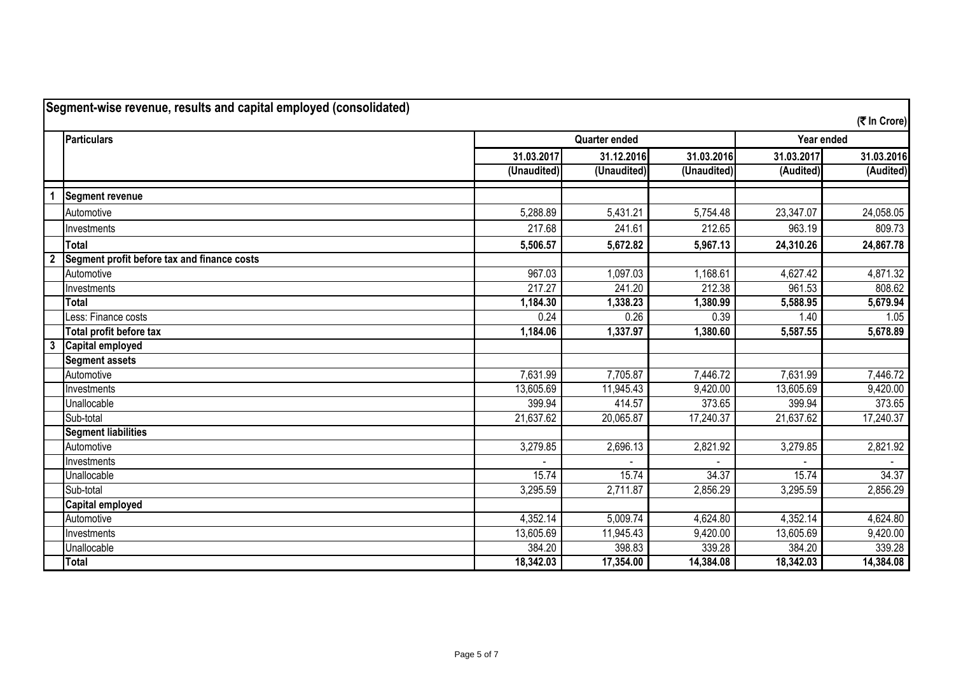| Segment-wise revenue, results and capital employed (consolidated) |                                             |             |                      |             |            |              |
|-------------------------------------------------------------------|---------------------------------------------|-------------|----------------------|-------------|------------|--------------|
|                                                                   |                                             |             |                      |             |            | (そ In Crore) |
|                                                                   | <b>Particulars</b>                          |             | <b>Quarter ended</b> |             | Year ended |              |
|                                                                   |                                             | 31.03.2017  | 31.12.2016           | 31.03.2016  | 31.03.2017 | 31.03.2016   |
|                                                                   |                                             | (Unaudited) | (Unaudited)          | (Unaudited) | (Audited)  | (Audited)    |
|                                                                   | Segment revenue                             |             |                      |             |            |              |
|                                                                   | Automotive                                  | 5,288.89    | 5,431.21             | 5,754.48    | 23,347.07  | 24,058.05    |
|                                                                   | Investments                                 | 217.68      | 241.61               | 212.65      | 963.19     | 809.73       |
|                                                                   | <b>Total</b>                                | 5,506.57    | 5,672.82             | 5,967.13    | 24,310.26  | 24,867.78    |
| $\overline{\mathbf{2}}$                                           | Segment profit before tax and finance costs |             |                      |             |            |              |
|                                                                   | Automotive                                  | 967.03      | 1,097.03             | 1,168.61    | 4,627.42   | 4,871.32     |
|                                                                   | Investments                                 | 217.27      | 241.20               | 212.38      | 961.53     | 808.62       |
|                                                                   | <b>Total</b>                                | 1,184.30    | 1,338.23             | 1,380.99    | 5,588.95   | 5,679.94     |
|                                                                   | Less: Finance costs                         | 0.24        | 0.26                 | 0.39        | 1.40       | 1.05         |
|                                                                   | Total profit before tax                     | 1,184.06    | 1,337.97             | 1,380.60    | 5,587.55   | 5,678.89     |
| $\mathbf{3}$                                                      | <b>Capital employed</b>                     |             |                      |             |            |              |
|                                                                   | <b>Segment assets</b>                       |             |                      |             |            |              |
|                                                                   | Automotive                                  | 7,631.99    | 7,705.87             | 7,446.72    | 7,631.99   | 7,446.72     |
|                                                                   | Investments                                 | 13,605.69   | 11,945.43            | 9,420.00    | 13,605.69  | 9,420.00     |
|                                                                   | Unallocable                                 | 399.94      | 414.57               | 373.65      | 399.94     | 373.65       |
|                                                                   | Sub-total                                   | 21,637.62   | 20,065.87            | 17,240.37   | 21,637.62  | 17,240.37    |
|                                                                   | <b>Segment liabilities</b>                  |             |                      |             |            |              |
|                                                                   | Automotive                                  | 3,279.85    | 2,696.13             | 2,821.92    | 3,279.85   | 2,821.92     |
|                                                                   | Investments                                 |             |                      |             |            |              |
|                                                                   | Unallocable                                 | 15.74       | 15.74                | 34.37       | 15.74      | 34.37        |
|                                                                   | Sub-total                                   | 3,295.59    | 2,711.87             | 2,856.29    | 3,295.59   | 2,856.29     |
|                                                                   | <b>Capital employed</b>                     |             |                      |             |            |              |
|                                                                   | Automotive                                  | 4,352.14    | 5,009.74             | 4,624.80    | 4,352.14   | 4,624.80     |
|                                                                   | Investments                                 | 13,605.69   | 11,945.43            | 9,420.00    | 13,605.69  | 9,420.00     |
|                                                                   | Unallocable                                 | 384.20      | 398.83               | 339.28      | 384.20     | 339.28       |
|                                                                   | <b>Total</b>                                | 18,342.03   | 17,354.00            | 14,384.08   | 18,342.03  | 14,384.08    |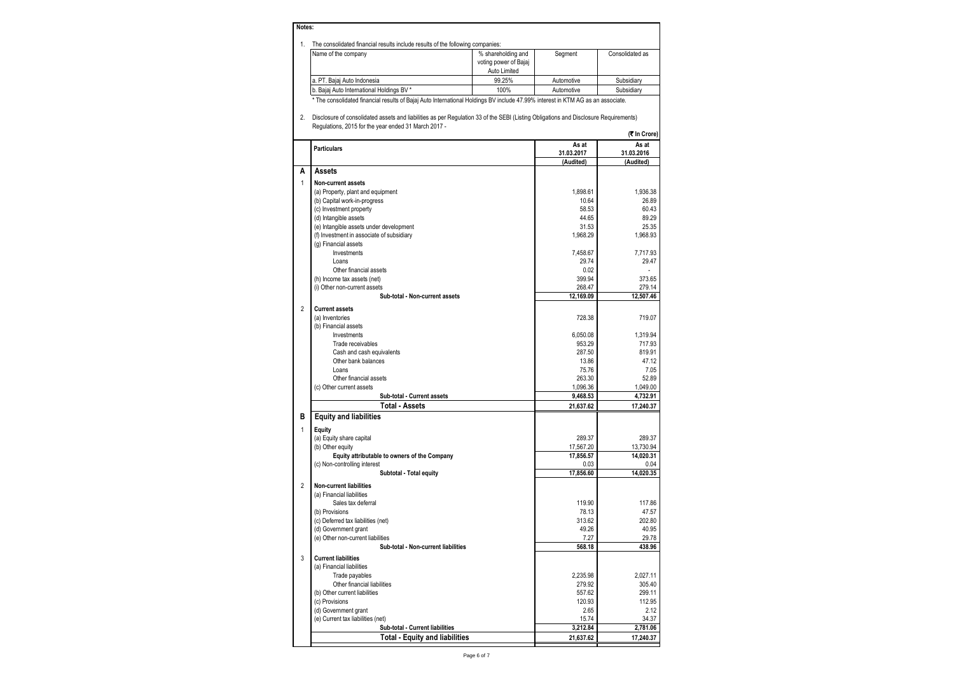| 1. | The consolidated financial results include results of the following companies:                                                                                                                                                                                                                                                  |                                                             |                   |                       |
|----|---------------------------------------------------------------------------------------------------------------------------------------------------------------------------------------------------------------------------------------------------------------------------------------------------------------------------------|-------------------------------------------------------------|-------------------|-----------------------|
|    | Name of the company                                                                                                                                                                                                                                                                                                             | % shareholding and<br>voting power of Bajaj<br>Auto Limited | Segment           | Consolidated as       |
|    | a. PT. Bajaj Auto Indonesia                                                                                                                                                                                                                                                                                                     | 99.25%                                                      | Automotive        | Subsidiary            |
|    | b. Bajaj Auto International Holdings BV *                                                                                                                                                                                                                                                                                       | 100%                                                        | Automotive        | Subsidiary            |
| 2. | * The consolidated financial results of Bajaj Auto International Holdings BV include 47.99% interest in KTM AG as an associate.<br>Disclosure of consolidated assets and liabilities as per Regulation 33 of the SEBI (Listing Obligations and Disclosure Requirements)<br>Regulations, 2015 for the year ended 31 March 2017 - |                                                             |                   |                       |
|    |                                                                                                                                                                                                                                                                                                                                 |                                                             | As at             | (₹ In Crore)<br>As at |
|    | <b>Particulars</b>                                                                                                                                                                                                                                                                                                              |                                                             | 31.03.2017        | 31.03.2016            |
| A  | Assets                                                                                                                                                                                                                                                                                                                          |                                                             | (Audited)         | (Audited)             |
|    | <b>Non-current assets</b>                                                                                                                                                                                                                                                                                                       |                                                             |                   |                       |
|    | (a) Property, plant and equipment                                                                                                                                                                                                                                                                                               |                                                             | 1.898.61          | 1.936.38              |
|    | (b) Capital work-in-progress                                                                                                                                                                                                                                                                                                    |                                                             | 10.64             | 26.89                 |
|    | (c) Investment property                                                                                                                                                                                                                                                                                                         |                                                             | 58.53             | 60.43                 |
|    | (d) Intangible assets                                                                                                                                                                                                                                                                                                           |                                                             | 44.65             | 89.29                 |
|    | (e) Intangible assets under development                                                                                                                                                                                                                                                                                         |                                                             | 31.53             | 25.35                 |
|    | (f) Investment in associate of subsidiary                                                                                                                                                                                                                                                                                       |                                                             | 1,968.29          | 1,968.93              |
|    | (g) Financial assets                                                                                                                                                                                                                                                                                                            |                                                             |                   |                       |
|    | Investments                                                                                                                                                                                                                                                                                                                     |                                                             | 7.458.67          | 7,717.93              |
|    | Loans                                                                                                                                                                                                                                                                                                                           |                                                             | 29.74             | 29.47                 |
|    | Other financial assets                                                                                                                                                                                                                                                                                                          |                                                             | 0.02              |                       |
|    | (h) Income tax assets (net)                                                                                                                                                                                                                                                                                                     |                                                             | 399.94            | 373.65                |
|    | (i) Other non-current assets                                                                                                                                                                                                                                                                                                    |                                                             | 268.47            | 279.14                |
|    | Sub-total - Non-current assets                                                                                                                                                                                                                                                                                                  |                                                             | 12,169.09         | 12.507.46             |
|    | <b>Current assets</b>                                                                                                                                                                                                                                                                                                           |                                                             |                   |                       |
|    | (a) Inventories                                                                                                                                                                                                                                                                                                                 |                                                             | 728.38            | 719.07                |
|    | (b) Financial assets                                                                                                                                                                                                                                                                                                            |                                                             |                   |                       |
|    | Investments                                                                                                                                                                                                                                                                                                                     |                                                             | 6,050.08          | 1,319.94              |
|    | Trade receivables                                                                                                                                                                                                                                                                                                               |                                                             | 953.29            | 717.93                |
|    | Cash and cash equivalents                                                                                                                                                                                                                                                                                                       |                                                             | 287.50            | 819.91                |
|    | Other bank balances<br>Loans                                                                                                                                                                                                                                                                                                    |                                                             | 13.86             | 47.12                 |
|    |                                                                                                                                                                                                                                                                                                                                 |                                                             | 75.76<br>263.30   | 7.05                  |
|    | Other financial assets                                                                                                                                                                                                                                                                                                          |                                                             | 1,096.36          | 52.89<br>1,049.00     |
|    | (c) Other current assets<br>Sub-total - Current assets                                                                                                                                                                                                                                                                          |                                                             | 9,468.53          | 4,732.91              |
|    | <b>Total - Assets</b>                                                                                                                                                                                                                                                                                                           |                                                             | 21,637.62         | 17.240.37             |
|    | <b>Equity and liabilities</b>                                                                                                                                                                                                                                                                                                   |                                                             |                   |                       |
|    | Equity                                                                                                                                                                                                                                                                                                                          |                                                             |                   |                       |
|    | (a) Equity share capital                                                                                                                                                                                                                                                                                                        |                                                             | 289.37            | 289.37                |
|    | (b) Other equity                                                                                                                                                                                                                                                                                                                |                                                             | 17,567.20         | 13,730.94             |
|    | Equity attributable to owners of the Company                                                                                                                                                                                                                                                                                    |                                                             | 17,856.57         | 14,020.31             |
|    | (c) Non-controlling interest<br>Subtotal - Total equity                                                                                                                                                                                                                                                                         |                                                             | 0.03<br>17,856.60 | 0.04<br>14,020.35     |
|    | <b>Non-current liabilities</b>                                                                                                                                                                                                                                                                                                  |                                                             |                   |                       |
|    | (a) Financial liabilities                                                                                                                                                                                                                                                                                                       |                                                             |                   |                       |
|    | Sales tax deferral                                                                                                                                                                                                                                                                                                              |                                                             | 119.90            | 117.86                |
|    | (b) Provisions                                                                                                                                                                                                                                                                                                                  |                                                             | 78.13             | 47.57                 |
|    | (c) Deferred tax liabilities (net)                                                                                                                                                                                                                                                                                              |                                                             | 313.62            | 202.80                |
|    | (d) Government grant                                                                                                                                                                                                                                                                                                            |                                                             | 49.26             | 40.95                 |
|    | (e) Other non-current liabilities                                                                                                                                                                                                                                                                                               |                                                             | 7.27              | 29.78                 |
|    | Sub-total - Non-current liabilities                                                                                                                                                                                                                                                                                             |                                                             | 568.18            | 438.96                |
|    | <b>Current liabilities</b>                                                                                                                                                                                                                                                                                                      |                                                             |                   |                       |
|    | (a) Financial liabilities                                                                                                                                                                                                                                                                                                       |                                                             |                   |                       |
|    | Trade payables                                                                                                                                                                                                                                                                                                                  |                                                             | 2,235.98          | 2,027.11              |
|    | Other financial liabilities                                                                                                                                                                                                                                                                                                     |                                                             | 279.92            | 305.40                |
|    | (b) Other current liabilities                                                                                                                                                                                                                                                                                                   |                                                             | 557.62            | 299.11                |
|    | (c) Provisions                                                                                                                                                                                                                                                                                                                  |                                                             | 120.93            | 112.95                |
|    | (d) Government grant                                                                                                                                                                                                                                                                                                            |                                                             | 2.65              | 2.12                  |
|    | (e) Current tax liabilities (net)                                                                                                                                                                                                                                                                                               |                                                             | 15.74             | 34.37                 |
|    | Sub-total - Current liabilities                                                                                                                                                                                                                                                                                                 |                                                             | 3,212.84          | 2,781.06              |
|    | <b>Total - Equity and liabilities</b>                                                                                                                                                                                                                                                                                           |                                                             | 21,637.62         | 17,240.37             |